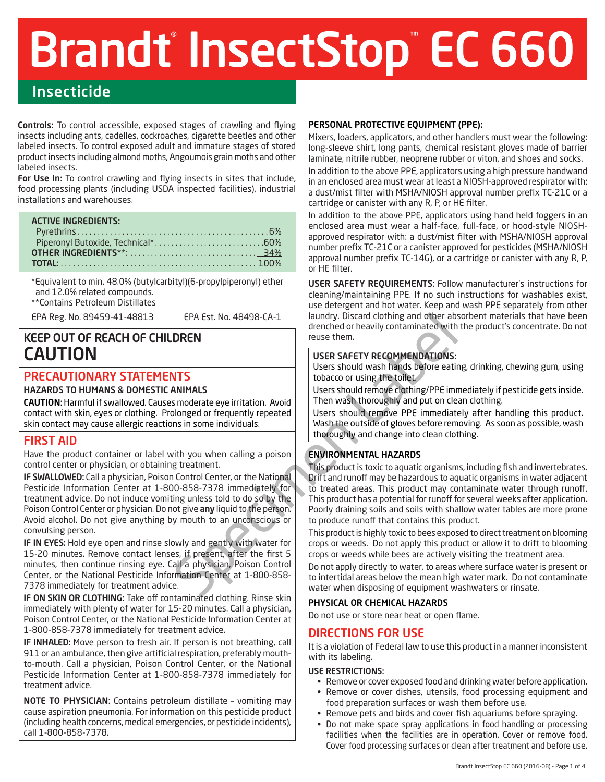# Brandt InsectStop EC 660

# Insecticide

Controls: To control accessible, exposed stages of crawling and flying insects including ants, cadelles, cockroaches, cigarette beetles and other labeled insects. To control exposed adult and immature stages of stored product insects including almond moths, Angoumois grain moths and other labeled insects.

For Use In: To control crawling and flying insects in sites that include, food processing plants (including USDA inspected facilities), industrial installations and warehouses.

#### ACTIVE INGREDIENTS:

\*Equivalent to min. 48.0% (butylcarbityl)(6-propylpiperonyl) ether and 12.0% related compounds.

\*\*Contains Petroleum Distillates

EPA Reg. No. 89459-41-48813 EPA Est. No. 48498-CA-1

# KEEP OUT OF REACH OF CHILDREN CAUTION

# PRECAUTIONARY STATEMENTS

#### HAZARDS TO HUMANS & DOMESTIC ANIMALS

CAUTION: Harmful if swallowed. Causes moderate eye irritation. Avoid contact with skin, eyes or clothing. Prolonged or frequently repeated skin contact may cause allergic reactions in some individuals.

# FIRST AID

Have the product container or label with you when calling a poison control center or physician, or obtaining treatment.

IF SWALLOWED: Call a physician, Poison Control Center, or the National Pesticide Information Center at 1-800-858-7378 immediately for treatment advice. Do not induce vomiting unless told to do so by the Poison Control Center or physician. Do not give any liquid to the person. Avoid alcohol. Do not give anything by mouth to an unconscious or convulsing person.

IF IN EYES: Hold eye open and rinse slowly and gently with water for 15-20 minutes. Remove contact lenses, if present, after the first 5 minutes, then continue rinsing eye. Call a physician, Poison Control Center, or the National Pesticide Information Center at 1-800-858- 7378 immediately for treatment advice.

IF ON SKIN OR CLOTHING: Take off contaminated clothing. Rinse skin immediately with plenty of water for 15-20 minutes. Call a physician, Poison Control Center, or the National Pesticide Information Center at 1-800-858-7378 immediately for treatment advice.

IF INHALED: Move person to fresh air. If person is not breathing, call 911 or an ambulance, then give artificial respiration, preferably mouthto-mouth. Call a physician, Poison Control Center, or the National Pesticide Information Center at 1-800-858-7378 immediately for treatment advice.

NOTE TO PHYSICIAN: Contains petroleum distillate – vomiting may cause aspiration pneumonia. For information on this pesticide product (including health concerns, medical emergencies, or pesticide incidents), call 1-800-858-7378.

#### PERSONAL PROTECTIVE EQUIPMENT (PPE):

Mixers, loaders, applicators, and other handlers must wear the following: long-sleeve shirt, long pants, chemical resistant gloves made of barrier laminate, nitrile rubber, neoprene rubber or viton, and shoes and socks.

In addition to the above PPE, applicators using a high pressure handwand in an enclosed area must wear at least a NIOSH-approved respirator with: a dust/mist filter with MSHA/NIOSH approval number prefix TC-21C or a cartridge or canister with any R, P, or HE filter.

In addition to the above PPE, applicators using hand held foggers in an enclosed area must wear a half-face, full-face, or hood-style NIOSHapproved respirator with: a dust/mist filter with MSHA/NIOSH approval number prefix TC-21C or a canister approved for pesticides (MSHA/NIOSH approval number prefix TC-14G), or a cartridge or canister with any R, P, or HE filter.

USER SAFETY REQUIREMENTS: Follow manufacturer's instructions for cleaning/maintaining PPE. If no such instructions for washables exist, use detergent and hot water. Keep and wash PPE separately from other laundry. Discard clothing and other absorbent materials that have been drenched or heavily contaminated with the product's concentrate. Do not reuse them.

## USER SAFETY RECOMMENDATIONS:

Users should wash hands before eating, drinking, chewing gum, using tobacco or using the toilet.

Users should remove clothing/PPE immediately if pesticide gets inside. Then wash thoroughly and put on clean clothing.

Users should remove PPE immediately after handling this product. Wash the outside of gloves before removing. As soon as possible, wash thoroughly and change into clean clothing.

## ENVIRONMENTAL HAZARDS

EPA Est. No. 48498-CA-1<br>
I alundry. Discard clothing and other absorber to the three dominanted with<br>
TISS<br>
TISS TRAFETY RECOMMENDATIONS:<br>
USER SAFETY RECOMMENDATIONS:<br>
USER SAFETY RECOMMENDATIONS:<br>
USER SAFETY RECOMMENDAT This product is toxic to aquatic organisms, including fish and invertebrates. Drift and runoff may be hazardous to aquatic organisms in water adjacent to treated areas. This product may contaminate water through runoff. This product has a potential for runoff for several weeks after application. Poorly draining soils and soils with shallow water tables are more prone to produce runoff that contains this product.

This product is highly toxic to bees exposed to direct treatment on blooming crops or weeds. Do not apply this product or allow it to drift to blooming crops or weeds while bees are actively visiting the treatment area.

Do not apply directly to water, to areas where surface water is present or to intertidal areas below the mean high water mark. Do not contaminate water when disposing of equipment washwaters or rinsate.

#### PHYSICAL OR CHEMICAL HAZARDS

Do not use or store near heat or open flame.

## DIRECTIONS FOR USE

It is a violation of Federal law to use this product in a manner inconsistent with its labeling.

#### USE RESTRICTIONS:

- Remove or cover exposed food and drinking water before application.
- Remove or cover dishes, utensils, food processing equipment and food preparation surfaces or wash them before use.
- Remove pets and birds and cover fish aquariums before spraying.
- Do not make space spray applications in food handling or processing facilities when the facilities are in operation. Cover or remove food. Cover food processing surfaces or clean after treatment and before use.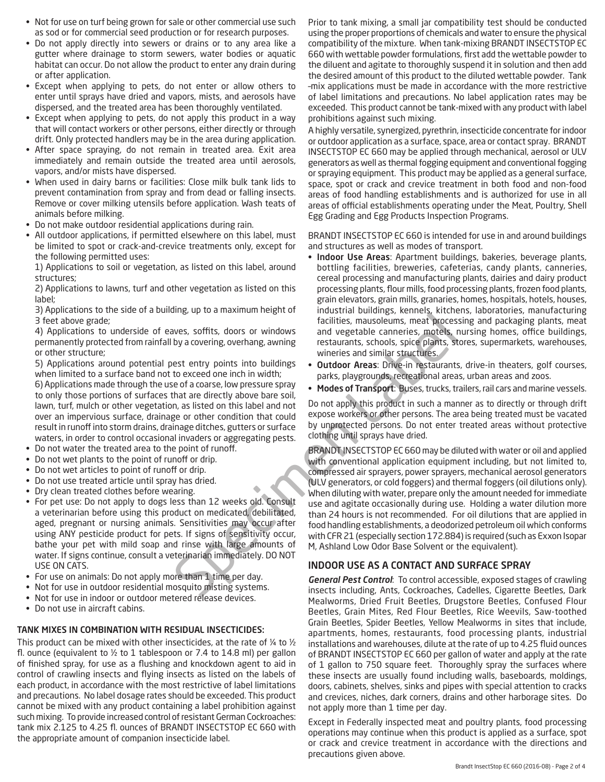- Not for use on turf being grown for sale or other commercial use such as sod or for commercial seed production or for research purposes.
- Do not apply directly into sewers or drains or to any area like a gutter where drainage to storm sewers, water bodies or aquatic habitat can occur. Do not allow the product to enter any drain during or after application.
- Except when applying to pets, do not enter or allow others to enter until sprays have dried and vapors, mists, and aerosols have dispersed, and the treated area has been thoroughly ventilated.
- Except when applying to pets, do not apply this product in a way that will contact workers or other persons, either directly or through drift. Only protected handlers may be in the area during application.
- After space spraying, do not remain in treated area. Exit area immediately and remain outside the treated area until aerosols, vapors, and/or mists have dispersed.
- When used in dairy barns or facilities: Close milk bulk tank lids to prevent contamination from spray and from dead or falling insects. Remove or cover milking utensils before application. Wash teats of animals before milking.
- Do not make outdoor residential applications during rain.
- All outdoor applications, if permitted elsewhere on this label, must be limited to spot or crack-and-crevice treatments only, except for the following permitted uses:

1) Applications to soil or vegetation, as listed on this label, around structures;

2) Applications to lawns, turf and other vegetation as listed on this label;

3) Applications to the side of a building, up to a maximum height of 3 feet above grade;

4) Applications to underside of eaves, soffits, doors or windows permanently protected from rainfall by a covering, overhang, awning or other structure;

5) Applications around potential pest entry points into buildings when limited to a surface band not to exceed one inch in width;

6) Applications made through the use of a coarse, low pressure spray to only those portions of surfaces that are directly above bare soil, lawn, turf, mulch or other vegetation, as listed on this label and not over an impervious surface, drainage or other condition that could result in runoff into storm drains, drainage ditches, gutters or surface waters, in order to control occasional invaders or aggregating pests.

- Do not water the treated area to the point of runoff.
- Do not wet plants to the point of runoff or drip.
- Do not wet articles to point of runoff or drip.
- Do not use treated article until spray has dried.
- Dry clean treated clothes before wearing.
- For pet use: Do not apply to dogs less than 12 weeks old. Consult a veterinarian before using this product on medicated, debilitated, aged, pregnant or nursing animals. Sensitivities may occur after using ANY pesticide product for pets. If signs of sensitivity occur, bathe your pet with mild soap and rinse with large amounts of water. If signs continue, consult a veterinarian immediately. DO NOT USE ON CATS.
- For use on animals: Do not apply more than 1 time per day.
- Not for use in outdoor residential mosquito misting systems.
- Not for use in indoor or outdoor metered release devices.
- Do not use in aircraft cabins.

#### TANK MIXES IN COMBINATION WITH RESIDUAL INSECTICIDES:

This product can be mixed with other insecticides, at the rate of ¼ to ½ fl. ounce (equivalent to  $\frac{1}{2}$  to 1 tablespoon or 7.4 to 14.8 ml) per gallon of finished spray, for use as a flushing and knockdown agent to aid in control of crawling insects and flying insects as listed on the labels of each product, in accordance with the most restrictive of label limitations and precautions. No label dosage rates should be exceeded. This product cannot be mixed with any product containing a label prohibition against such mixing. To provide increased control of resistant German Cockroaches: tank mix 2.125 to 4.25 fl. ounces of BRANDT INSECTSTOP EC 660 with the appropriate amount of companion insecticide label.

Prior to tank mixing, a small jar compatibility test should be conducted using the proper proportions of chemicals and water to ensure the physical compatibility of the mixture. When tank-mixing BRANDT INSECTSTOP EC 660 with wettable powder formulations, first add the wettable powder to the diluent and agitate to thoroughly suspend it in solution and then add the desired amount of this product to the diluted wettable powder. Tank –mix applications must be made in accordance with the more restrictive of label limitations and precautions. No label application rates may be exceeded. This product cannot be tank-mixed with any product with label prohibitions against such mixing.

A highly versatile, synergized, pyrethrin, insecticide concentrate for indoor or outdoor application as a surface, space, area or contact spray. BRANDT INSECTSTOP EC 660 may be applied through mechanical, aerosol or ULV generators as well as thermal fogging equipment and conventional fogging or spraying equipment. This product may be applied as a general surface, space, spot or crack and crevice treatment in both food and non-food areas of food handling establishments and is authorized for use in all areas of official establishments operating under the Meat, Poultry, Shell Egg Grading and Egg Products Inspection Programs.

BRANDT INSECTSTOP EC 660 is intended for use in and around buildings and structures as well as modes of transport.

- Indoor Use Areas: Apartment buildings, bakeries, beverage plants, bottling facilities, breweries, cafeterias, candy plants, canneries, cereal processing and manufacturing plants, dairies and dairy product processing plants, flour mills, food processing plants, frozen food plants, grain elevators, grain mills, granaries, homes, hospitals, hotels, houses, industrial buildings, kennels, kitchens, laboratories, manufacturing facilities, mausoleums, meat processing and packaging plants, meat and vegetable canneries, motels, nursing homes, office buildings, restaurants, schools, spice plants, stores, supermarkets, warehouses, wineries and similar structures.
- Outdoor Areas: Drive-in restaurants, drive-in theaters, golf courses, parks, playgrounds, recreational areas, urban areas and zoos.
- Modes of Transport: Buses, trucks, trailers, rail cars and marine vessels.

Do not apply this product in such a manner as to directly or through drift expose workers or other persons. The area being treated must be vacated by unprotected persons. Do not enter treated areas without protective clothing until sprays have dried.

Example the constrained and the model of the constrained and the state of the state of the state of the state of the constrained and the state of a coarse, low pressure spray to the expect on einclining the constraints tha BRANDT INSECTSTOP EC 660 may be diluted with water or oil and applied with conventional application equipment including, but not limited to, compressed air sprayers, power sprayers, mechanical aerosol generators (ULV generators, or cold foggers) and thermal foggers (oil dilutions only). When diluting with water, prepare only the amount needed for immediate use and agitate occasionally during use. Holding a water dilution more than 24 hours is not recommended. For oil dilutions that are applied in food handling establishments, a deodorized petroleum oil which conforms with CFR 21 (especially section 172.884) is required (such as Exxon Isopar M, Ashland Low Odor Base Solvent or the equivalent).

#### INDOOR USE AS A CONTACT AND SURFACE SPRAY

*General Pest Control*: To control accessible, exposed stages of crawling insects including, Ants, Cockroaches, Cadelles, Cigarette Beetles, Dark Mealworms, Dried Fruit Beetles, Drugstore Beetles, Confused Flour Beetles, Grain Mites, Red Flour Beetles, Rice Weevils, Saw-toothed Grain Beetles, Spider Beetles, Yellow Mealworms in sites that include, apartments, homes, restaurants, food processing plants, industrial installations and warehouses, dilute at the rate of up to 4.25 fluid ounces of BRANDT INSECTSTOP EC 660 per gallon of water and apply at the rate of 1 gallon to 750 square feet. Thoroughly spray the surfaces where these insects are usually found including walls, baseboards, moldings, doors, cabinets, shelves, sinks and pipes with special attention to cracks and crevices, niches, dark corners, drains and other harborage sites. Do not apply more than 1 time per day.

Except in Federally inspected meat and poultry plants, food processing operations may continue when this product is applied as a surface, spot or crack and crevice treatment in accordance with the directions and precautions given above.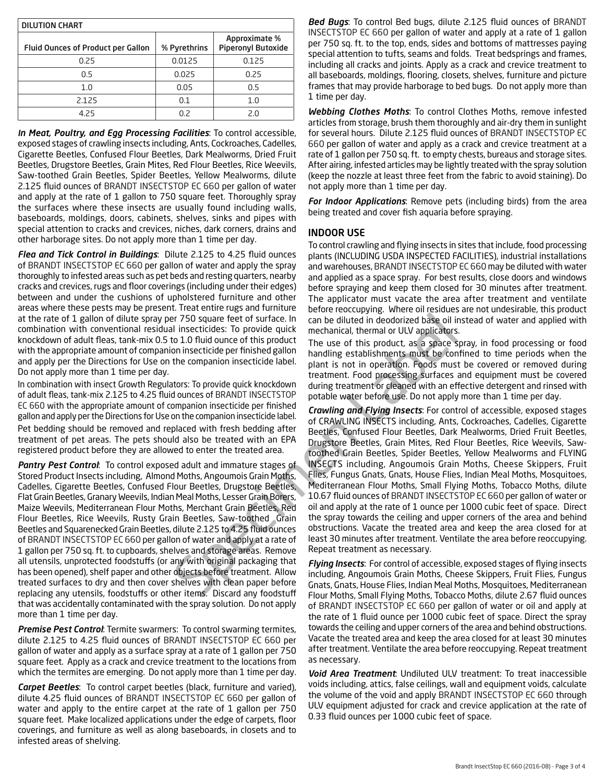| <b>DILUTION CHART</b>                     |              |                                            |  |
|-------------------------------------------|--------------|--------------------------------------------|--|
| <b>Fluid Ounces of Product per Gallon</b> | % Pyrethrins | Approximate %<br><b>Piperonyl Butoxide</b> |  |
| 0.25                                      | 0.0125       | 0.125                                      |  |
| 0.5                                       | 0.025        | 0.25                                       |  |
| 1.0                                       | 0.05         | 0.5                                        |  |
| 2.125                                     | 0.1          | 1.0                                        |  |
| 4.25                                      | 0.2          | 2 በ                                        |  |

*In Meat, Poultry, and Egg Processing Facilities*: To control accessible, exposed stages of crawling insects including, Ants, Cockroaches, Cadelles, Cigarette Beetles, Confused Flour Beetles, Dark Mealworms, Dried Fruit Beetles, Drugstore Beetles, Grain Mites, Red Flour Beetles, Rice Weevils, Saw-toothed Grain Beetles, Spider Beetles, Yellow Mealworms, dilute 2.125 fluid ounces of BRANDT INSECTSTOP EC 660 per gallon of water and apply at the rate of 1 gallon to 750 square feet. Thoroughly spray the surfaces where these insects are usually found including walls, baseboards, moldings, doors, cabinets, shelves, sinks and pipes with special attention to cracks and crevices, niches, dark corners, drains and other harborage sites. Do not apply more than 1 time per day.

*Flea and Tick Control in Buildings*: Dilute 2.125 to 4.25 fluid ounces of BRANDT INSECTSTOP EC 660 per gallon of water and apply the spray thoroughly to infested areas such as pet beds and resting quarters, nearby cracks and crevices, rugs and floor coverings (including under their edges) between and under the cushions of upholstered furniture and other areas where these pests may be present. Treat entire rugs and furniture at the rate of 1 gallon of dilute spray per 750 square feet of surface. In combination with conventional residual insecticides: To provide quick knockdown of adult fleas, tank-mix 0.5 to 1.0 fluid ounce of this product with the appropriate amount of companion insecticide per finished gallon and apply per the Directions for Use on the companion insecticide label. Do not apply more than 1 time per day.

In combination with insect Growth Regulators: To provide quick knockdown of adult fleas, tank-mix 2.125 to 4.25 fluid ounces of BRANDT INSECTSTOP EC 660 with the appropriate amount of companion insecticide per finished gallon and apply per the Directions for Use on the companion insecticide label. Pet bedding should be removed and replaced with fresh bedding after treatment of pet areas. The pets should also be treated with an EPA registered product before they are allowed to enter the treated area.

*Pantry Pest Control*: To control exposed adult and immature stages of Stored Product Insects including, Almond Moths, Angoumois Grain Moths, Cadelles, Cigarette Beetles, Confused Flour Beetles, Drugstore Beetles, Flat Grain Beetles, Granary Weevils, Indian Meal Moths, Lesser Grain Borers, Maize Weevils, Mediterranean Flour Moths, Merchant Grain Beetles, Red Flour Beetles, Rice Weevils, Rusty Grain Beetles, Saw-toothed Grain Beetles and Squarenecked Grain Beetles, dilute 2.125 to 4.25 fluid ounces of BRANDT INSECTSTOP EC 660 per gallon of water and apply at a rate of 1 gallon per 750 sq. ft. to cupboards, shelves and storage areas. Remove all utensils, unprotected foodstuffs (or any with original packaging that has been opened), shelf paper and other objects before treatment. Allow treated surfaces to dry and then cover shelves with clean paper before replacing any utensils, foodstuffs or other items. Discard any foodstuff that was accidentally contaminated with the spray solution. Do not apply more than 1 time per day.

*Premise Pest Control*: Termite swarmers: To control swarming termites, dilute 2.125 to 4.25 fluid ounces of BRANDT INSECTSTOP EC 660 per gallon of water and apply as a surface spray at a rate of 1 gallon per 750 square feet. Apply as a crack and crevice treatment to the locations from which the termites are emerging. Do not apply more than 1 time per day.

*Carpet Beetles*: To control carpet beetles (black, furniture and varied), dilute 4.25 fluid ounces of BRANDT INSECTSTOP EC 660 per gallon of water and apply to the entire carpet at the rate of 1 gallon per 750 square feet. Make localized applications under the edge of carpets, floor coverings, and furniture as well as along baseboards, in closets and to infested areas of shelving.

*Bed Bugs*: To control Bed bugs, dilute 2.125 fluid ounces of BRANDT INSECTSTOP EC 660 per gallon of water and apply at a rate of 1 gallon per 750 sq. ft. to the top, ends, sides and bottoms of mattresses paying special attention to tufts, seams and folds. Treat bedsprings and frames, including all cracks and joints. Apply as a crack and crevice treatment to all baseboards, moldings, flooring, closets, shelves, furniture and picture frames that may provide harborage to bed bugs. Do not apply more than 1 time per day.

*Webbing Clothes Moths*: To control Clothes Moths, remove infested articles from storage, brush them thoroughly and air-dry them in sunlight for several hours. Dilute 2.125 fluid ounces of BRANDT INSECTSTOP EC 660 per gallon of water and apply as a crack and crevice treatment at a rate of 1 gallon per 750 sq. ft. to empty chests, bureaus and storage sites. After airing, infested articles may be lightly treated with the spray solution (keep the nozzle at least three feet from the fabric to avoid staining). Do not apply more than 1 time per day.

*For Indoor Applications*: Remove pets (including birds) from the area being treated and cover fish aquaria before spraying.

#### INDOOR USE

To control crawling and flying insects in sites that include, food processing plants (INCLUDING USDA INSPECTED FACILITIES), industrial installations and warehouses, BRANDT INSECTSTOP EC 660 may be diluted with water and applied as a space spray. For best results, close doors and windows before spraying and keep them closed for 30 minutes after treatment. The applicator must vacate the area after treatment and ventilate before reoccupying. Where oil residues are not undesirable, this product can be diluted in deodorized base oil instead of water and applied with mechanical, thermal or ULV applicators.

The use of this product, as a space spray, in food processing or food handling establishments must be confined to time periods when the plant is not in operation. Foods must be covered or removed during treatment. Food processing surfaces and equipment must be covered during treatment or cleaned with an effective detergent and rinsed with potable water before use. Do not apply more than 1 time per day.

PT 750 square feet of surface. In can be diluted in deodorized base oil in the statical static in on the diluted in deodorized base oil in the solution of U.O. The solution of this product and specifies in the solution of *Crawling and Flying Insects*: For control of accessible, exposed stages of CRAWLING INSECTS including, Ants, Cockroaches, Cadelles, Cigarette Beetles, Confused Flour Beetles, Dark Mealworms, Dried Fruit Beetles, Drugstore Beetles, Grain Mites, Red Flour Beetles, Rice Weevils, Sawtoothed Grain Beetles, Spider Beetles, Yellow Mealworms and FLYING INSECTS including, Angoumois Grain Moths, Cheese Skippers, Fruit Flies, Fungus Gnats, Gnats, House Flies, Indian Meal Moths, Mosquitoes, Mediterranean Flour Moths, Small Flying Moths, Tobacco Moths, dilute 10.67 fluid ounces of BRANDT INSECTSTOP EC 660 per gallon of water or oil and apply at the rate of 1 ounce per 1000 cubic feet of space. Direct the spray towards the ceiling and upper corners of the area and behind obstructions. Vacate the treated area and keep the area closed for at least 30 minutes after treatment. Ventilate the area before reoccupying. Repeat treatment as necessary.

*Flying Insects*: For control of accessible, exposed stages of flying insects including, Angoumois Grain Moths, Cheese Skippers, Fruit Flies, Fungus Gnats, Gnats, House Flies, Indian Meal Moths, Mosquitoes, Mediterranean Flour Moths, Small Flying Moths, Tobacco Moths, dilute 2.67 fluid ounces of BRANDT INSECTSTOP EC 660 per gallon of water or oil and apply at the rate of 1 fluid ounce per 1000 cubic feet of space. Direct the spray towards the ceiling and upper corners of the area and behind obstructions. Vacate the treated area and keep the area closed for at least 30 minutes after treatment. Ventilate the area before reoccupying. Repeat treatment as necessary.

*Void Area Treatment*: Undiluted ULV treatment: To treat inaccessible voids including, attics, false ceilings, wall and equipment voids, calculate the volume of the void and apply BRANDT INSECTSTOP EC 660 through ULV equipment adjusted for crack and crevice application at the rate of 0.33 fluid ounces per 1000 cubic feet of space.